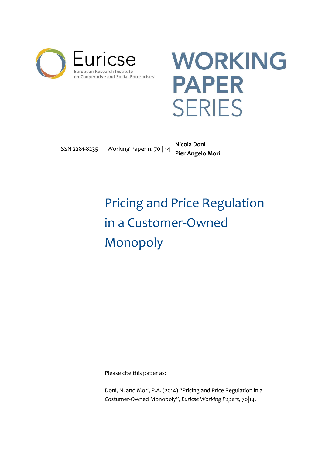

# WORKING **PAPER SERIES**

ISSN 2281-8235 Working Paper n. 70 | 14 **Nicola Doni** 

**Pier Angelo Mori** 

## Pricing and Price Regulation in a Customer-Owned Monopoly

Please cite this paper as:

—

Doni, N. and Mori, P.A. (2014) "Pricing and Price Regulation in a Costumer-Owned Monopoly", *Euricse Working Papers,* 70|14.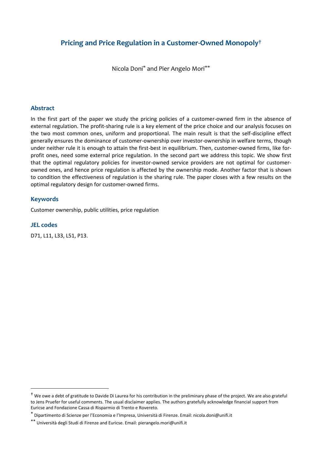## **Pricing and Price Regulation in a Customer-Owned Monopoly†**

Nicola Doni\* and Pier Angelo Mori\*\*

#### **Abstract**

In the first part of the paper we study the pricing policies of a customer-owned firm in the absence of external regulation. The profit-sharing rule is a key element of the price choice and our analysis focuses on the two most common ones, uniform and proportional. The main result is that the self-discipline effect generally ensures the dominance of customer-ownership over investor-ownership in welfare terms, though under neither rule it is enough to attain the first-best in equilibrium. Then, customer-owned firms, like forprofit ones, need some external price regulation. In the second part we address this topic. We show first that the optimal regulatory policies for investor-owned service providers are not optimal for customerowned ones, and hence price regulation is affected by the ownership mode. Another factor that is shown to condition the effectiveness of regulation is the sharing rule. The paper closes with a few results on the optimal regulatory design for customer-owned firms.

## **Keywords**

Customer ownership, public utilities, price regulation

#### **JEL codes**

 $\overline{a}$ 

D71, L11, L33, L51, P13.

<sup>&</sup>lt;sup>†</sup> We owe a debt of gratitude to Davide Di Laurea for his contribution in the preliminary phase of the project. We are also grateful to Jens Pruefer for useful comments. The usual disclaimer applies. The authors gratefully acknowledge financial support from Euricse and Fondazione Cassa di Risparmio di Trento e Rovereto.

<sup>\*</sup> Dipartimento di Scienze per l'Economia e l'Impresa, Università di Firenze. Email: nicola.doni@unifi.it

<sup>\*\*</sup> Università degli Studi di Firenze and Euricse. Email: pierangelo.mori@unifi.it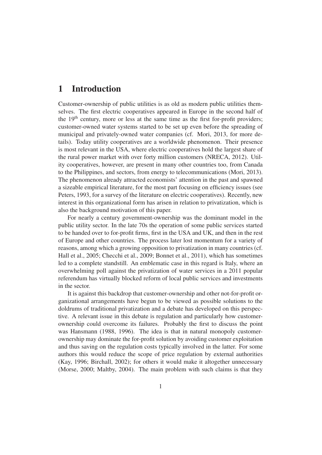## 1 Introduction

Customer-ownership of public utilities is as old as modern public utilities themselves. The first electric cooperatives appeared in Europe in the second half of the  $19<sup>th</sup>$  century, more or less at the same time as the first for-profit providers; customer-owned water systems started to be set up even before the spreading of municipal and privately-owned water companies (cf. Mori, 2013, for more details). Today utility cooperatives are a worldwide phenomenon. Their presence is most relevant in the USA, where electric cooperatives hold the largest share of the rural power market with over forty million customers (NRECA, 2012). Utility cooperatives, however, are present in many other countries too, from Canada to the Philippines, and sectors, from energy to telecommunications (Mori, 2013). The phenomenon already attracted economists' attention in the past and spawned a sizeable empirical literature, for the most part focusing on efficiency issues (see Peters, 1993, for a survey of the literature on electric cooperatives). Recently, new interest in this organizational form has arisen in relation to privatization, which is also the background motivation of this paper.

For nearly a century government-ownership was the dominant model in the public utility sector. In the late 70s the operation of some public services started to be handed over to for-profit firms, first in the USA and UK, and then in the rest of Europe and other countries. The process later lost momentum for a variety of reasons, among which a growing opposition to privatization in many countries (cf. Hall et al., 2005; Checchi et al., 2009; Bonnet et al., 2011), which has sometimes led to a complete standstill. An emblematic case in this regard is Italy, where an overwhelming poll against the privatization of water services in a 2011 popular referendum has virtually blocked reform of local public services and investments in the sector.

It is against this backdrop that customer-ownership and other not-for-profit organizational arrangements have begun to be viewed as possible solutions to the doldrums of traditional privatization and a debate has developed on this perspective. A relevant issue in this debate is regulation and particularly how customerownership could overcome its failures. Probably the first to discuss the point was Hansmann (1988, 1996). The idea is that in natural monopoly customerownership may dominate the for-profit solution by avoiding customer exploitation and thus saving on the regulation costs typically involved in the latter. For some authors this would reduce the scope of price regulation by external authorities (Kay, 1996; Birchall, 2002); for others it would make it altogether unnecessary (Morse, 2000; Maltby, 2004). The main problem with such claims is that they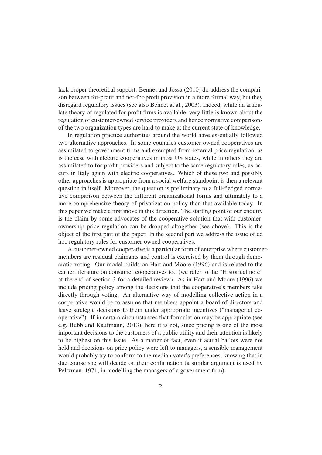lack proper theoretical support. Bennet and Jossa (2010) do address the comparison between for-profit and not-for-profit provision in a more formal way, but they disregard regulatory issues (see also Bennet at al., 2003). Indeed, while an articulate theory of regulated for-profit firms is available, very little is known about the regulation of customer-owned service providers and hence normative comparisons of the two organization types are hard to make at the current state of knowledge.

In regulation practice authorities around the world have essentially followed two alternative approaches. In some countries customer-owned cooperatives are assimilated to government firms and exempted from external price regulation, as is the case with electric cooperatives in most US states, while in others they are assimilated to for-profit providers and subject to the same regulatory rules, as occurs in Italy again with electric cooperatives. Which of these two and possibly other approaches is appropriate from a social welfare standpoint is then a relevant question in itself. Moreover, the question is preliminary to a full-fledged normative comparison between the different organizational forms and ultimately to a more comprehensive theory of privatization policy than that available today. In this paper we make a first move in this direction. The starting point of our enquiry is the claim by some advocates of the cooperative solution that with customerownership price regulation can be dropped altogether (see above). This is the object of the first part of the paper. In the second part we address the issue of ad hoc regulatory rules for customer-owned cooperatives.

A customer-owned cooperative is a particular form of enterprise where customermembers are residual claimants and control is exercised by them through democratic voting. Our model builds on Hart and Moore (1996) and is related to the earlier literature on consumer cooperatives too (we refer to the "Historical note" at the end of section 3 for a detailed review). As in Hart and Moore (1996) we include pricing policy among the decisions that the cooperative's members take directly through voting. An alternative way of modelling collective action in a cooperative would be to assume that members appoint a board of directors and leave strategic decisions to them under appropriate incentives ("managerial cooperative"). If in certain circumstances that formulation may be appropriate (see e.g. Bubb and Kaufmann, 2013), here it is not, since pricing is one of the most important decisions to the customers of a public utility and their attention is likely to be highest on this issue. As a matter of fact, even if actual ballots were not held and decisions on price policy were left to managers, a sensible management would probably try to conform to the median voter's preferences, knowing that in due course she will decide on their confirmation (a similar argument is used by Peltzman, 1971, in modelling the managers of a government firm).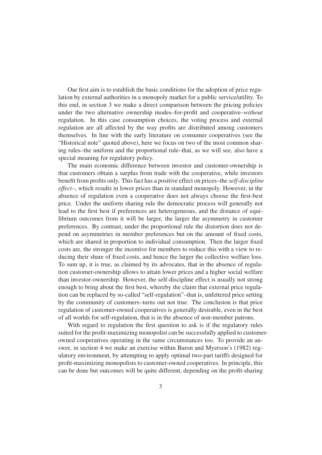Our first aim is to establish the basic conditions for the adoption of price regulation by external authorities in a monopoly market for a public service/utility. To this end, in section 3 we make a direct comparison between the pricing policies under the two alternative ownership modes–for-profit and cooperative–*without* regulation. In this case consumption choices, the voting process and external regulation are all affected by the way profits are distributed among customers themselves. In line with the early literature on consumer cooperatives (see the "Historical note" quoted above), here we focus on two of the most common sharing rules–the uniform and the proportional rule–that, as we will see, also have a special meaning for regulatory policy.

The main economic difference between investor and customer-ownership is that customers obtain a surplus from trade with the cooperative, while investors benefit from profits only. This fact has a positive effect on prices–the *self-discipline effect*–, which results in lower prices than in standard monopoly. However, in the absence of regulation even a cooperative does not always choose the first-best price. Under the uniform sharing rule the democratic process will generally not lead to the first best if preferences are heterogeneous, and the distance of equilibrium outcomes from it will be larger, the larger the asymmetry in customer preferences. By contrast, under the proportional rule the distortion does not depend on asymmetries in member preferences but on the amount of fixed costs, which are shared in proportion to individual consumption. Then the larger fixed costs are, the stronger the incentive for members to reduce this with a view to reducing their share of fixed costs, and hence the larger the collective welfare loss. To sum up, it is true, as claimed by its advocates, that in the absence of regulation customer-ownership allows to attain lower prices and a higher social welfare than investor-ownership. However, the self-discipline effect is usually not strong enough to bring about the first best, whereby the claim that external price regulation can be replaced by so-called "self-regulation"–that is, unfettered price setting by the community of customers–turns out not true. The conclusion is that price regulation of customer-owned cooperatives is generally desirable, even in the best of all worlds for self-regulation, that is in the absence of non-member patrons.

With regard to regulation the first question to ask is if the regulatory rules suited for the profit-maximizing monopolist can be successfully applied to customerowned cooperatives operating in the same circumstances too. To provide an answer, in section 4 we make an exercise within Baron and Myerson's (1982) regulatory environment, by attempting to apply optimal two-part tariffs designed for profit-maximizing monopolists to customer-owned cooperatives. In principle, this can be done but outcomes will be quite different, depending on the profit-sharing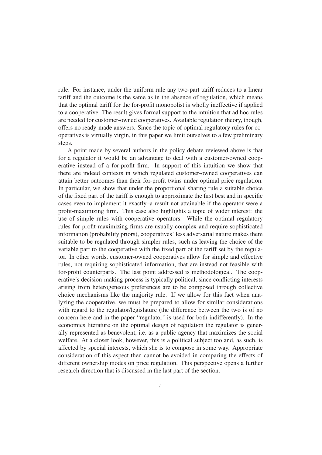rule. For instance, under the uniform rule any two-part tariff reduces to a linear tariff and the outcome is the same as in the absence of regulation, which means that the optimal tariff for the for-profit monopolist is wholly ineffective if applied to a cooperative. The result gives formal support to the intuition that ad hoc rules are needed for customer-owned cooperatives. Available regulation theory, though, offers no ready-made answers. Since the topic of optimal regulatory rules for cooperatives is virtually virgin, in this paper we limit ourselves to a few preliminary steps.

A point made by several authors in the policy debate reviewed above is that for a regulator it would be an advantage to deal with a customer-owned cooperative instead of a for-profit firm. In support of this intuition we show that there are indeed contexts in which regulated customer-owned cooperatives can attain better outcomes than their for-profit twins under optimal price regulation. In particular, we show that under the proportional sharing rule a suitable choice of the fixed part of the tariff is enough to approximate the first best and in specific cases even to implement it exactly–a result not attainable if the operator were a profit-maximizing firm. This case also highlights a topic of wider interest: the use of simple rules with cooperative operators. While the optimal regulatory rules for profit-maximizing firms are usually complex and require sophisticated information (probability priors), cooperatives' less adversarial nature makes them suitable to be regulated through simpler rules, such as leaving the choice of the variable part to the cooperative with the fixed part of the tariff set by the regulator. In other words, customer-owned cooperatives allow for simple and effective rules, not requiring sophisticated information, that are instead not feasible with for-profit counterparts. The last point addressed is methodological. The cooperative's decision-making process is typically political, since conflicting interests arising from heterogeneous preferences are to be composed through collective choice mechanisms like the majority rule. If we allow for this fact when analyzing the cooperative, we must be prepared to allow for similar considerations with regard to the regulator/legislature (the difference between the two is of no concern here and in the paper "regulator" is used for both indifferently). In the economics literature on the optimal design of regulation the regulator is generally represented as benevolent, i.e. as a public agency that maximizes the social welfare. At a closer look, however, this is a political subject too and, as such, is affected by special interests, which she is to compose in some way. Appropriate consideration of this aspect then cannot be avoided in comparing the effects of different ownership modes on price regulation. This perspective opens a further research direction that is discussed in the last part of the section.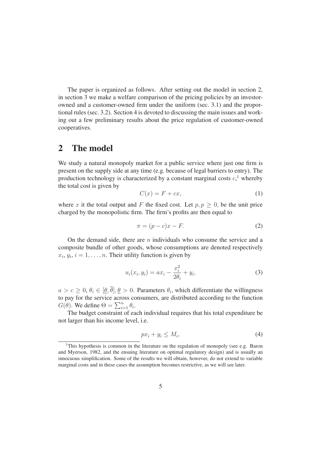The paper is organized as follows. After setting out the model in section 2, in section 3 we make a welfare comparison of the pricing policies by an investorowned and a customer-owned firm under the uniform (sec. 3.1) and the proportional rules (sec. 3.2). Section 4 is devoted to discussing the main issues and working out a few preliminary results about the price regulation of customer-owned cooperatives.

## 2 The model

We study a natural monopoly market for a public service where just one firm is present on the supply side at any time (e.g. because of legal barriers to entry). The production technology is characterized by a constant marginal costs  $c<sup>1</sup>$ , whereby the total cost is given by

$$
C(x) = F + cx,\tag{1}
$$

where x it the total output and F the fixed cost. Let  $p, p \ge 0$ , be the unit price charged by the monopolistic firm. The firm's profits are then equal to

$$
\pi = (p - c)x - F.
$$
\n(2)

On the demand side, there are  $n$  individuals who consume the service and a composite bundle of other goods, whose consumptions are denoted respectively  $x_i, y_i, i = 1, \ldots, n$ . Their utility function is given by

$$
u_i(x_i, y_i) = ax_i - \frac{x_i^2}{2\theta_i} + y_i,
$$
\n(3)

 $a > c \geq 0$ ,  $\theta_i \in [\underline{\theta}, \overline{\theta}], \underline{\theta} > 0$ . Parameters  $\theta_i$ , which differentiate the willingness to pay for the service across consumers, are distributed according to the function  $G(\theta)$ . We define  $\Theta = \sum_{i=1}^n \theta_i$ .

The budget constraint of each individual requires that his total expenditure be not larger than his income level, i.e.

$$
px_i + y_i \le M_i,\tag{4}
$$

<sup>&</sup>lt;sup>1</sup>This hypothesis is common in the literature on the regulation of monopoly (see e.g. Baron and Myerson, 1982, and the ensuing literature on optimal regulatory design) and is usually an innocuous simplification. Some of the results we will obtain, however, do not extend to variable marginal costs and in these cases the assumption becomes restrictive, as we will see later.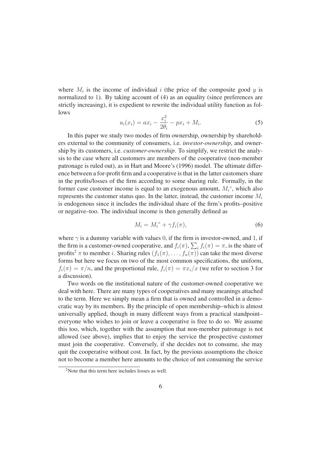where  $M_i$  is the income of individual i (the price of the composite good y is normalized to 1). By taking account of (4) as an equality (since preferences are strictly increasing), it is expedient to rewrite the individual utility function as follows

$$
u_i(x_i) = ax_i - \frac{x_i^2}{2\theta_i} - px_i + M_i.
$$
 (5)

In this paper we study two modes of firm ownership, ownership by shareholders external to the community of consumers, i.e. *investor-ownership*, and ownership by its customers, i.e. *customer-ownership*. To simplify, we restrict the analysis to the case where all customers are members of the cooperative (non-member patronage is ruled out), as in Hart and Moore's (1996) model. The ultimate difference between a for-profit firm and a cooperative is that in the latter customers share in the profits/losses of the firm according to some sharing rule. Formally, in the former case customer income is equal to an exogenous amount,  $M_i^{\circ}$ , which also represents the customer status quo. In the latter, instead, the customer income  $M_i$ is endogenous since it includes the individual share of the firm's profits–positive or negative–too. The individual income is then generally defined as

$$
M_i = M_i^{\circ} + \gamma f_i(\pi), \tag{6}
$$

where  $\gamma$  is a dummy variable with values 0, if the firm is investor-owned, and 1, if the firm is a customer-owned cooperative, and  $f_i(\pi)$ ,  $\sum_i f_i(\pi) = \pi$ , is the share of profits<sup>2</sup>  $\pi$  to member *i*. Sharing rules  $(f_1(\pi), \ldots, f_n(\pi))$  can take the most diverse forms but here we focus on two of the most common specifications, the uniform,  $f_i(\pi) = \pi/n$ , and the proportional rule,  $f_i(\pi) = \pi x_i/x$  (we refer to section 3 for a discussion).

Two words on the institutional nature of the customer-owned cooperative we deal with here. There are many types of cooperatives and many meanings attached to the term. Here we simply mean a firm that is owned and controlled in a democratic way by its members. By the principle of open membership–which is almost universally applied, though in many different ways from a practical standpoint– everyone who wishes to join or leave a cooperative is free to do so. We assume this too, which, together with the assumption that non-member patronage is not allowed (see above), implies that to enjoy the service the prospective customer must join the cooperative. Conversely, if she decides not to consume, she may quit the cooperative without cost. In fact, by the previous assumptions the choice not to become a member here amounts to the choice of not consuming the service

<sup>2</sup>Note that this term here includes losses as well.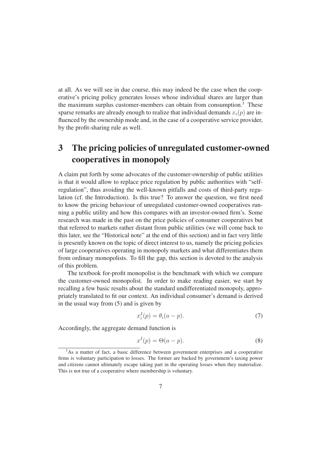at all. As we will see in due course, this may indeed be the case when the cooperative's pricing policy generates losses whose individual shares are larger than the maximum surplus customer-members can obtain from consumption. $3$  These sparse remarks are already enough to realize that individual demands  $x_i(p)$  are influenced by the ownership mode and, in the case of a cooperative service provider, by the profit-sharing rule as well.

## 3 The pricing policies of unregulated customer-owned cooperatives in monopoly

A claim put forth by some advocates of the customer-ownership of public utilities is that it would allow to replace price regulation by public authorities with "selfregulation", thus avoiding the well-known pitfalls and costs of third-party regulation (cf. the Introduction). Is this true? To answer the question, we first need to know the pricing behaviour of unregulated customer-owned cooperatives running a public utility and how this compares with an investor-owned firm's. Some research was made in the past on the price policies of consumer cooperatives but that referred to markets rather distant from public utilities (we will come back to this later, see the "Historical note" at the end of this section) and in fact very little is presently known on the topic of direct interest to us, namely the pricing policies of large cooperatives operating in monopoly markets and what differentiates them from ordinary monopolists. To fill the gap, this section is devoted to the analysis of this problem.

The textbook for-profit monopolist is the benchmark with which we compare the customer-owned monopolist. In order to make reading easier, we start by recalling a few basic results about the standard undifferentiated monopoly, appropriately translated to fit our context. An individual consumer's demand is derived in the usual way from (5) and is given by

$$
x_i^I(p) = \theta_i(a - p). \tag{7}
$$

Accordingly, the aggregate demand function is

$$
x^{I}(p) = \Theta(a - p). \tag{8}
$$

<sup>&</sup>lt;sup>3</sup>As a matter of fact, a basic difference between government enterprises and a cooperative firms is voluntary participation to losses. The former are backed by government's taxing power and citizens cannot ultimately escape taking part in the operating losses when they materialize. This is not true of a cooperative where membership is voluntary.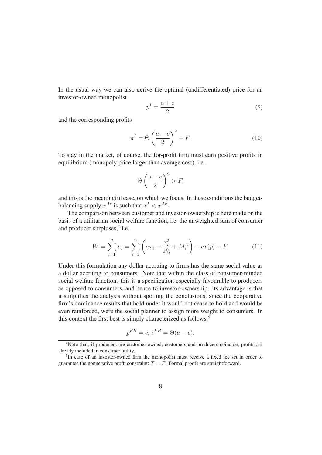In the usual way we can also derive the optimal (undifferentiated) price for an investor-owned monopolist

$$
p^I = \frac{a+c}{2} \tag{9}
$$

and the corresponding profits

$$
\pi^I = \Theta \left(\frac{a-c}{2}\right)^2 - F. \tag{10}
$$

To stay in the market, of course, the for-profit firm must earn positive profits in equilibrium (monopoly price larger than average cost), i.e.

$$
\Theta\left(\frac{a-c}{2}\right)^2 > F.
$$

and this is the meaningful case, on which we focus. In these conditions the budgetbalancing supply  $x^{Av}$  is such that  $x^I < x^{Av}$ .

The comparison between customer and investor-ownership is here made on the basis of a utilitarian social welfare function, i.e. the unweighted sum of consumer and producer surpluses,<sup>4</sup> i.e.

$$
W = \sum_{i=1}^{n} u_i = \sum_{i=1}^{n} \left( ax_i - \frac{x_i^2}{2\theta_i} + M_i^{\circ} \right) - cx(p) - F.
$$
 (11)

Under this formulation any dollar accruing to firms has the same social value as a dollar accruing to consumers. Note that within the class of consumer-minded social welfare functions this is a specification especially favourable to producers as opposed to consumers, and hence to investor-ownership. Its advantage is that it simplifies the analysis without spoiling the conclusions, since the cooperative firm's dominance results that hold under it would not cease to hold and would be even reinforced, were the social planner to assign more weight to consumers. In this context the first best is simply characterized as follows:<sup>5</sup>

$$
p^{FB} = c, x^{FB} = \Theta(a - c).
$$

<sup>4</sup>Note that, if producers are customer-owned, customers and producers coincide, profits are already included in consumer utility.

<sup>&</sup>lt;sup>5</sup>In case of an investor-owned firm the monopolist must receive a fixed fee set in order to guarantee the nonnegative profit constraint:  $T = \overline{F}$ . Formal proofs are straightforward.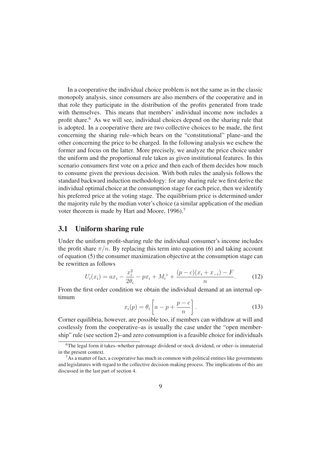In a cooperative the individual choice problem is not the same as in the classic monopoly analysis, since consumers are also members of the cooperative and in that role they participate in the distribution of the profits generated from trade with themselves. This means that members' individual income now includes a profit share.<sup>6</sup> As we will see, individual choices depend on the sharing rule that is adopted. In a cooperative there are two collective choices to be made, the first concerning the sharing rule–which bears on the "constitutional" plane–and the other concerning the price to be charged. In the following analysis we eschew the former and focus on the latter. More precisely, we analyze the price choice under the uniform and the proportional rule taken as given institutional features. In this scenario consumers first vote on a price and then each of them decides how much to consume given the previous decision. With both rules the analysis follows the standard backward induction methodology: for any sharing rule we first derive the individual optimal choice at the consumption stage for each price, then we identify his preferred price at the voting stage. The equilibrium price is determined under the majority rule by the median voter's choice (a similar application of the median voter theorem is made by Hart and Moore, 1996).<sup>7</sup>

## 3.1 Uniform sharing rule

Under the uniform profit-sharing rule the individual consumer's income includes the profit share  $\pi/n$ . By replacing this term into equation (6) and taking account of equation (5) the consumer maximization objective at the consumption stage can be rewritten as follows

$$
U_i(x_i) = ax_i - \frac{x_i^2}{2\theta_i} - px_i + M_i^{\circ} + \frac{(p-c)(x_i + x_{-i}) - F}{n}.
$$
 (12)

From the first order condition we obtain the individual demand at an internal optimum

$$
x_i(p) = \theta_i \left[ a - p + \frac{p - c}{n} \right]. \tag{13}
$$

Corner equilibria, however, are possible too, if members can withdraw at will and costlessly from the cooperative–as is usually the case under the "open membership" rule (see section 2)–and zero consumption is a feasible choice for individuals

<sup>6</sup>The legal form it takes–whether patronage dividend or stock dividend, or other–is immaterial in the present context.

 $7A$ s a matter of fact, a cooperative has much in common with political entities like governments and legislatures with regard to the collective decision-making process. The implications of this are discussed in the last part of section 4.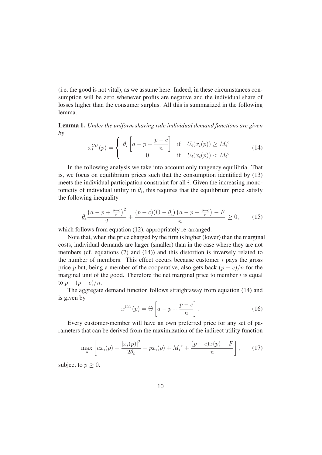(i.e. the good is not vital), as we assume here. Indeed, in these circumstances consumption will be zero whenever profits are negative and the individual share of losses higher than the consumer surplus. All this is summarized in the following lemma.

Lemma 1. *Under the uniform sharing rule individual demand functions are given by*

$$
x_i^{CU}(p) = \begin{cases} \theta_i \left[ a - p + \frac{p - c}{n} \right] & \text{if} \quad U_i(x_i(p)) \ge M_i^{\circ} \\ 0 & \text{if} \quad U_i(x_i(p)) < M_i^{\circ} \end{cases} \tag{14}
$$

In the following analysis we take into account only tangency equilibria. That is, we focus on equilibrium prices such that the consumption identified by (13) meets the individual participation constraint for all  $i$ . Given the increasing monotonicity of individual utility in  $\theta_i$ , this requires that the equilibrium price satisfy the following inequality

$$
\underline{\theta_i} \frac{\left(a - p + \frac{p - c}{n}\right)^2}{2} + \frac{\left(p - c\right)\left(\Theta - \underline{\theta_i}\right)\left(a - p + \frac{p - c}{n}\right) - F}{n} \ge 0,\qquad(15)
$$

which follows from equation (12), appropriately re-arranged.

Note that, when the price charged by the firm is higher (lower) than the marginal costs, individual demands are larger (smaller) than in the case where they are not members (cf. equations (7) and (14)) and this distortion is inversely related to the number of members. This effect occurs because customer  $i$  pays the gross price p but, being a member of the cooperative, also gets back  $(p - c)/n$  for the marginal unit of the good. Therefore the net marginal price to member  $i$  is equal to  $p - (p - c)/n$ .

The aggregate demand function follows straightaway from equation (14) and is given by

$$
x^{CU}(p) = \Theta \left[ a - p + \frac{p - c}{n} \right].
$$
 (16)

Every customer-member will have an own preferred price for any set of parameters that can be derived from the maximization of the indirect utility function

$$
\max_{p} \left[ ax_i(p) - \frac{[x_i(p)]^2}{2\theta_i} - px_i(p) + M_i^{\circ} + \frac{(p-c)x(p) - F}{n} \right],
$$
 (17)

subject to  $p \geq 0$ .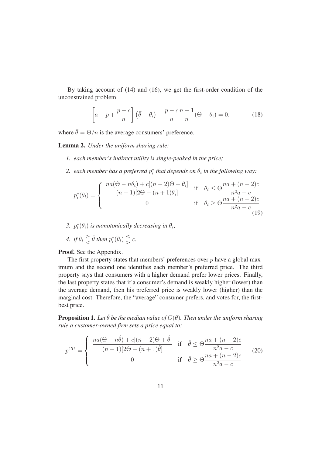By taking account of (14) and (16), we get the first-order condition of the unconstrained problem

$$
\left[a - p + \frac{p - c}{n}\right] \left(\bar{\theta} - \theta_i\right) - \frac{p - c n - 1}{n} (\Theta - \theta_i) = 0. \tag{18}
$$

where  $\bar{\theta} = \Theta/n$  is the average consumers' preference.

Lemma 2. *Under the uniform sharing rule:*

- *1. each member's indirect utility is single-peaked in the price;*
- 2. each member has a preferred  $p_i^*$  $i<sub>i</sub>$  that depends on  $\theta_i$  in the following way:

$$
p_i^*(\theta_i) = \begin{cases} \frac{na(\Theta - n\theta_i) + c[(n-2)\Theta + \theta_i]}{(n-1)[2\Theta - (n+1)\theta_i]} & \text{if } \theta_i \le \Theta \frac{na + (n-2)c}{n^2 a - c} \\ 0 & \text{if } \theta_i \ge \Theta \frac{na + (n-2)c}{n^2 a - c} \end{cases}
$$
(19)

- *3.* p ∗  $i^*_i(\theta_i)$  is monotonically decreasing in  $\theta_i$ ;
- *4.* if  $\theta_i \geq \overline{\theta}$  then  $p_i^*$  $\hat{e}_i^*(\theta_i) \equiv c.$

Proof. See the Appendix.

The first property states that members' preferences over  $p$  have a global maximum and the second one identifies each member's preferred price. The third property says that consumers with a higher demand prefer lower prices. Finally, the last property states that if a consumer's demand is weakly higher (lower) than the average demand, then his preferred price is weakly lower (higher) than the marginal cost. Therefore, the "average" consumer prefers, and votes for, the firstbest price.

**Proposition 1.** Let  $\hat{\theta}$  be the median value of  $G(\theta)$ . Then under the uniform sharing *rule a customer-owned firm sets a price equal to:*

$$
p^{CU} = \begin{cases} \frac{na(\Theta - n\hat{\theta}) + c[(n-2)\Theta + \hat{\theta}]}{(n-1)[2\Theta - (n+1)\hat{\theta}]} & \text{if } \hat{\theta} \le \Theta \frac{na + (n-2)c}{n^2 a - c} \\ 0 & \text{if } \hat{\theta} \ge \Theta \frac{na + (n-2)c}{n^2 a - c} \end{cases}
$$
(20)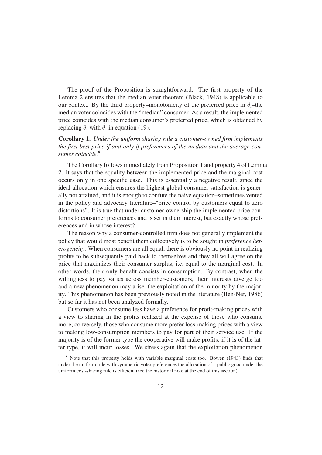The proof of the Proposition is straightforward. The first property of the Lemma 2 ensures that the median voter theorem (Black, 1948) is applicable to our context. By the third property–monotonicity of the preferred price in  $\theta_i$ –the median voter coincides with the "median" consumer. As a result, the implemented price coincides with the median consumer's preferred price, which is obtained by replacing  $\theta_i$  with  $\hat{\theta}_i$  in equation (19).

## Corollary 1. *Under the uniform sharing rule a customer-owned firm implements the first best price if and only if preferences of the median and the average consumer coincide.*<sup>8</sup>

The Corollary follows immediately from Proposition 1 and property 4 of Lemma 2. It says that the equality between the implemented price and the marginal cost occurs only in one specific case. This is essentially a negative result, since the ideal allocation which ensures the highest global consumer satisfaction is generally not attained, and it is enough to confute the naive equation–sometimes vented in the policy and advocacy literature–"price control by customers equal to zero distortions". It is true that under customer-ownership the implemented price conforms to consumer preferences and is set in their interest, but exactly whose preferences and in whose interest?

The reason why a consumer-controlled firm does not generally implement the policy that would most benefit them collectively is to be sought in *preference heterogeneity*. When consumers are all equal, there is obviously no point in realizing profits to be subsequently paid back to themselves and they all will agree on the price that maximizes their consumer surplus, i.e. equal to the marginal cost. In other words, their only benefit consists in consumption. By contrast, when the willingness to pay varies across member-customers, their interests diverge too and a new phenomenon may arise–the exploitation of the minority by the majority. This phenomenon has been previously noted in the literature (Ben-Ner, 1986) but so far it has not been analyzed formally.

Customers who consume less have a preference for profit-making prices with a view to sharing in the profits realized at the expense of those who consume more; conversely, those who consume more prefer loss-making prices with a view to making low-consumption members to pay for part of their service use. If the majority is of the former type the cooperative will make profits; if it is of the latter type, it will incur losses. We stress again that the exploitation phenomenon

<sup>8</sup> Note that this property holds with variable marginal costs too. Bowen (1943) finds that under the uniform rule with symmetric voter preferences the allocation of a public good under the uniform cost-sharing rule is efficient (see the historical note at the end of this section).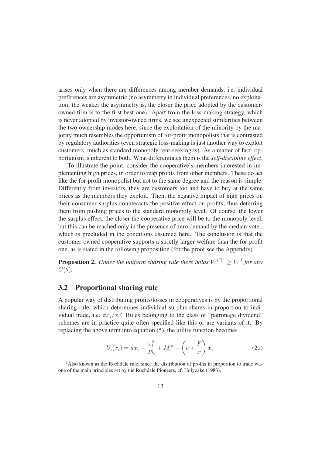arises only when there are differences among member demands, i.e. individual preferences are asymmetric (no asymmetry in individual preferences, no exploitation; the weaker the asymmetry is, the closer the price adopted by the customerowned firm is to the first best one). Apart from the loss-making strategy, which is never adopted by investor-owned firms, we see unexpected similarities between the two ownership modes here, since the exploitation of the minority by the majority much resembles the opportunism of for-profit monopolists that is contrasted by regulatory authorities (even strategic loss-making is just another way to exploit customers, much as standard monopoly rent-seeking is). As a matter of fact, opportunism is inherent to both. What differentiates them is the *self-discipline effect*.

To illustrate the point, consider the cooperative's members interested in implementing high prices, in order to reap profits from other members. These do act like the for-profit monopolist but not to the same degree and the reason is simple. Differently from investors, they are customers too and have to buy at the same prices as the members they exploit. Then, the negative impact of high prices on their consumer surplus counteracts the positive effect on profits, thus deterring them from pushing prices to the standard monopoly level. Of course, the lower the surplus effect, the closer the cooperative price will be to the monopoly level, but this can be reached only in the presence of zero demand by the median voter, which is precluded in the conditions assumed here. The conclusion is that the customer-owned cooperative supports a strictly larger welfare than the for-profit one, as is stated in the following proposition (for the proof see the Appendix).

**Proposition 2.** Under the uniform sharing rule there holds  $W^{CU} \geq W^{I}$  for any  $G(\theta)$ .

## 3.2 Proportional sharing rule

A popular way of distributing profits/losses in cooperatives is by the proportional sharing rule, which determines individual surplus shares in proportion to individual trade, i.e.  $\pi x_i/x$ .<sup>9</sup> Rules belonging to the class of "patronage dividend" schemes are in practice quite often specified like this or are variants of it. By replacing the above term into equation (5), the utility function becomes

$$
U_i(x_i) = ax_i - \frac{x_i^2}{2\theta_i} + M_i^{\circ} - \left(c + \frac{F}{x}\right)x_i.
$$
 (21)

<sup>&</sup>lt;sup>9</sup>Also known as the Rochdale rule, since the distribution of profits in proportion to trade was one of the main principles set by the Rochdale Pioneers, cf. Holyoake (1983).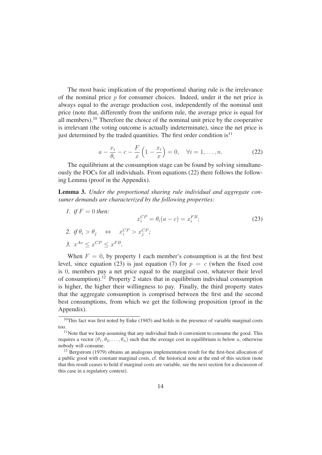The most basic implication of the proportional sharing rule is the irrelevance of the nominal price  $p$  for consumer choices. Indeed, under it the net price is always equal to the average production cost, independently of the nominal unit price (note that, differently from the uniform rule, the average price is equal for all members).<sup>10</sup> Therefore the choice of the nominal unit price by the cooperative is irrelevant (the voting outcome is actually indeterminate), since the net price is just determined by the traded quantities. The first order condition is $^{11}$ 

$$
a - \frac{x_i}{\theta_i} - c - \frac{F}{x} \left( 1 - \frac{x_i}{x} \right) = 0, \quad \forall i = 1, \dots, n. \tag{22}
$$

The equilibrium at the consumption stage can be found by solving simultaneously the FOCs for all individuals. From equations (22) there follows the following Lemma (proof in the Appendix).

Lemma 3. *Under the proportional sharing rule individual and aggregate consumer demands are characterized by the following properties:*

*1. if*  $F = 0$  *then:*  $x_i^{CP} = \theta_i(a-c) = x_i^{FB}$  $(23)$ 2. if  $\theta_i > \theta_j \quad \Leftrightarrow \quad x_i^{CP} > x_j^{CP}$ ;

$$
3. \ x^{Av} \le x^{CP} \le x^{FB}.
$$

When  $F = 0$ , by property 1 each member's consumption is at the first best level, since equation (23) is just equation (7) for  $p = c$  (when the fixed cost is 0, members pay a net price equal to the marginal cost, whatever their level of consumption).<sup>12</sup> Property 2 states that in equilibrium individual consumption is higher, the higher their willingness to pay. Finally, the third property states that the aggregate consumption is comprised between the first and the second best consumptions, from which we get the following proposition (proof in the Appendix).

 $10$ This fact was first noted by Enke (1945) and holds in the presence of variable marginal costs too.

<sup>&</sup>lt;sup>11</sup>Note that we keep assuming that any individual finds it convenient to consume the good. This requires a vector  $(\theta_1, \theta_2, \dots, \theta_n)$  such that the average cost in equilibrium is below a, otherwise nobody will consume.

<sup>&</sup>lt;sup>12</sup> Bergstrom (1979) obtains an analogous implementation result for the first-best allocation of a public good with constant marginal costs, cf. the historical note at the end of this section (note that this result ceases to hold if marginal costs are variable, see the next section for a discussion of this case in a regulatory context).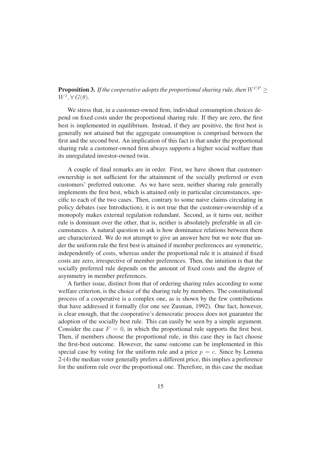**Proposition 3.** *If the cooperative adopts the proportional sharing rule, then*  $W^{CP} \geq$  $W^I, \forall G(\theta).$ 

We stress that, in a customer-owned firm, individual consumption choices depend on fixed costs under the proportional sharing rule. If they are zero, the first best is implemented in equilibrium. Instead, if they are positive, the first best is generally not attained but the aggregate consumption is comprised between the first and the second best. An implication of this fact is that under the proportional sharing rule a customer-owned firm always supports a higher social welfare than its unregulated investor-owned twin.

A couple of final remarks are in order. First, we have shown that customerownership is not sufficient for the attainment of the socially preferred or even customers' preferred outcome. As we have seen, neither sharing rule generally implements the first best, which is attained only in particular circumstances, specific to each of the two cases. Then, contrary to some naive claims circulating in policy debates (see Introduction), it is not true that the customer-ownership of a monopoly makes external regulation redundant. Second, as it turns out, neither rule is dominant over the other, that is, neither is absolutely preferable in all circumstances. A natural question to ask is how dominance relations between them are characterized. We do not attempt to give an answer here but we note that under the uniform rule the first best is attained if member preferences are symmetric, independently of costs, whereas under the proportional rule it is attained if fixed costs are zero, irrespective of member preferences. Then, the intuition is that the socially preferred rule depends on the amount of fixed costs and the degree of asymmetry in member preferences.

A further issue, distinct from that of ordering sharing rules according to some welfare criterion, is the choice of the sharing rule by members. The constitutional process of a cooperative is a complex one, as is shown by the few contributions that have addressed it formally (for one see Zusman, 1992). One fact, however, is clear enough, that the cooperative's democratic process does not guarantee the adoption of the socially best rule. This can easily be seen by a simple argument. Consider the case  $F = 0$ , in which the proportional rule supports the first best. Then, if members choose the proportional rule, in this case they in fact choose the first-best outcome. However, the same outcome can be implemented in this special case by voting for the uniform rule and a price  $p = c$ . Since by Lemma 2-(4) the median voter generally prefers a different price, this implies a preference for the uniform rule over the proportional one. Therefore, in this case the median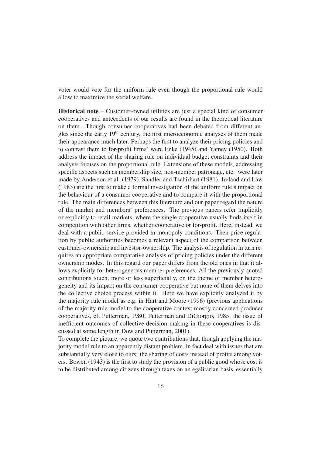voter would vote for the uniform rule even though the proportional rule would allow to maximize the social welfare.

Historical note – Customer-owned utilities are just a special kind of consumer cooperatives and antecedents of our results are found in the theoretical literature on them. Though consumer cooperatives had been debated from different angles since the early  $19<sup>th</sup>$  century, the first microeconomic analyses of them made their appearance much later. Perhaps the first to analyze their pricing policies and to contrast them to for-profit firms' were Enke (1945) and Yamey (1950). Both address the impact of the sharing rule on individual budget constraints and their analysis focuses on the proportional rule. Extensions of these models, addressing specific aspects such as membership size, non-member patronage, etc. were later made by Anderson et al. (1979), Sandler and Tschirhart (1981). Ireland and Law (1983) are the first to make a formal investigation of the uniform rule's impact on the behaviour of a consumer cooperative and to compare it with the proportional rule. The main differences between this literature and our paper regard the nature of the market and members' preferences. The previous papers refer implicitly or explicitly to retail markets, where the single cooperative usually finds itself in competition with other firms, whether cooperative or for-profit. Here, instead, we deal with a public service provided in monopoly conditions. Then price regulation by public authorities becomes a relevant aspect of the comparison between customer-ownership and investor-ownership. The analysis of regulation in turn requires an appropriate comparative analysis of pricing policies under the different ownership modes. In this regard our paper differs from the old ones in that it allows explicitly for heterogeneous member preferences. All the previously quoted contributions touch, more or less superficially, on the theme of member heterogeneity and its impact on the consumer cooperative but none of them delves into the collective choice process within it. Here we have explicitly analyzed it by the majority rule model as e.g. in Hart and Moore (1996) (previous applications of the majority rule model to the cooperative context mostly concerned producer cooperatives, cf. Putterman, 1980; Putterman and DiGiorgio, 1985; the issue of inefficient outcomes of collective-decision making in these cooperatives is discussed at some length in Dow and Putterman, 2001).

To complete the picture, we quote two contributions that, though applying the majority model rule to an apparently distant problem, in fact deal with issues that are substantially very close to ours: the sharing of costs instead of profits among voters. Bowen (1943) is the first to study the provision of a public good whose cost is to be distributed among citizens through taxes on an egalitarian basis–essentially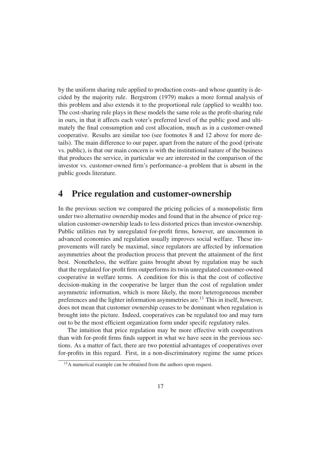by the uniform sharing rule applied to production costs–and whose quantity is decided by the majority rule. Bergstrom (1979) makes a more formal analysis of this problem and also extends it to the proportional rule (applied to wealth) too. The cost-sharing rule plays in these models the same role as the profit-sharing rule in ours, in that it affects each voter's preferred level of the public good and ultimately the final consumption and cost allocation, much as in a customer-owned cooperative. Results are similar too (see footnotes 8 and 12 above for more details). The main difference to our paper, apart from the nature of the good (private vs. public), is that our main concern is with the institutional nature of the business that produces the service, in particular we are interested in the comparison of the investor vs. customer-owned firm's performance–a problem that is absent in the public goods literature.

## 4 Price regulation and customer-ownership

In the previous section we compared the pricing policies of a monopolistic firm under two alternative ownership modes and found that in the absence of price regulation customer-ownership leads to less distorted prices than investor-ownership. Public utilities run by unregulated for-profit firms, however, are uncommon in advanced economies and regulation usually improves social welfare. These improvements will rarely be maximal, since regulators are affected by information asymmetries about the production process that prevent the attainment of the first best. Nonetheless, the welfare gains brought about by regulation may be such that the regulated for-profit firm outperforms its twin unregulated customer-owned cooperative in welfare terms. A condition for this is that the cost of collective decision-making in the cooperative be larger than the cost of regulation under asymmetric information, which is more likely, the more heterogeneous member preferences and the lighter information asymmetries are.<sup>13</sup> This in itself, however, does not mean that customer ownership ceases to be dominant when regulation is brought into the picture. Indeed, cooperatives can be regulated too and may turn out to be the most efficient organization form under specifc regulatory rules.

The intuition that price regulation may be more effective with cooperatives than with for-profit firms finds support in what we have seen in the previous sections. As a matter of fact, there are two potential advantages of cooperatives over for-profits in this regard. First, in a non-discriminatory regime the same prices

<sup>&</sup>lt;sup>13</sup>A numerical example can be obtained from the authors upon request.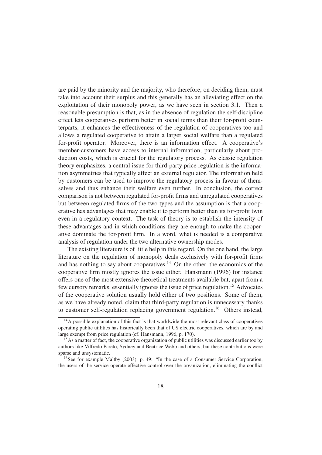are paid by the minority and the majority, who therefore, on deciding them, must take into account their surplus and this generally has an alleviating effect on the exploitation of their monopoly power, as we have seen in section 3.1. Then a reasonable presumption is that, as in the absence of regulation the self-discipline effect lets cooperatives perform better in social terms than their for-profit counterparts, it enhances the effectiveness of the regulation of cooperatives too and allows a regulated cooperative to attain a larger social welfare than a regulated for-profit operator. Moreover, there is an information effect. A cooperative's member-customers have access to internal information, particularly about production costs, which is crucial for the regulatory process. As classic regulation theory emphasizes, a central issue for third-party price regulation is the information asymmetries that typically affect an external regulator. The information held by customers can be used to improve the regulatory process in favour of themselves and thus enhance their welfare even further. In conclusion, the correct comparison is not between regulated for-profit firms and unregulated cooperatives but between regulated firms of the two types and the assumption is that a cooperative has advantages that may enable it to perform better than its for-profit twin even in a regulatory context. The task of theory is to establish the intensity of these advantages and in which conditions they are enough to make the cooperative dominate the for-profit firm. In a word, what is needed is a comparative analysis of regulation under the two alternative ownership modes.

The existing literature is of little help in this regard. On the one hand, the large literature on the regulation of monopoly deals exclusively with for-profit firms and has nothing to say about cooperatives.<sup>14</sup> On the other, the economics of the cooperative firm mostly ignores the issue either. Hansmann (1996) for instance offers one of the most extensive theoretical treatments available but, apart from a few cursory remarks, essentially ignores the issue of price regulation.<sup>15</sup> Advocates of the cooperative solution usually hold either of two positions. Some of them, as we have already noted, claim that third-party regulation is unnecessary thanks to customer self-regulation replacing government regulation.<sup>16</sup> Others instead,

<sup>&</sup>lt;sup>14</sup>A possible explanation of this fact is that worldwide the most relevant class of cooperatives operating public utilities has historically been that of US electric cooperatives, which are by and large exempt from price regulation (cf. Hansmann, 1996, p. 170).

<sup>&</sup>lt;sup>15</sup>As a matter of fact, the cooperative organization of public utilities was discussed earlier too by authors like Vilfredo Pareto, Sydney and Beatrice Webb and others, but these contributions were sparse and unsystematic.

<sup>&</sup>lt;sup>16</sup>See for example Maltby (2003), p. 49: "In the case of a Consumer Service Corporation, the users of the service operate effective control over the organization, eliminating the conflict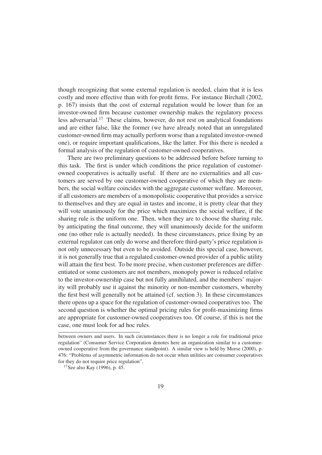though recognizing that some external regulation is needed, claim that it is less costly and more effective than with for-profit firms. For instance Birchall (2002, p. 167) insists that the cost of external regulation would be lower than for an investor-owned firm because customer ownership makes the regulatory process less adversarial.<sup>17</sup> These claims, however, do not rest on analytical foundations and are either false, like the former (we have already noted that an unregulated customer-owned firm may actually perform worse than a regulated investor-owned one), or require important qualifications, like the latter. For this there is needed a formal analysis of the regulation of customer-owned cooperatives.

There are two preliminary questions to be addressed before before turning to this task. The first is under which conditions the price regulation of customerowned cooperatives is actually useful. If there are no externalities and all customers are served by one customer-owned cooperative of which they are members, the social welfare coincides with the aggregate customer welfare. Moreover, if all customers are members of a monopolistic cooperative that provides a service to themselves and they are equal in tastes and income, it is pretty clear that they will vote unanimously for the price which maximizes the social welfare, if the sharing rule is the uniform one. Then, when they are to choose the sharing rule, by anticipating the final outcome, they will unanimously decide for the uniform one (no other rule is actually needed). In these circumstances, price fixing by an external regulator can only do worse and therefore third-party's price regulation is not only unnecessary but even to be avoided. Outside this special case, however, it is not generally true that a regulated customer-owned provider of a public utility will attain the first best. To be more precise, when customer preferences are differentiated or some customers are not members, monopoly power is reduced relative to the investor-ownership case but not fully annihilated, and the members' majority will probably use it against the minority or non-member customers, whereby the first best will generally not be attained (cf. section 3). In these circumstances there opens up a space for the regulation of customer-owned cooperatives too. The second question is whether the optimal pricing rules for profit-maximizing firms are appropriate for customer-owned cooperatives too. Of course, if this is not the case, one must look for ad hoc rules.

between owners and users. In such circumstances there is no longer a role for traditional price regulation" (Consumer Service Corporation denotes here an organization similar to a customerowned cooperative from the governance standpoint). A similar view is held by Morse (2000), p. 476: "Problems of asymmetric information do not occur when utilities are consumer cooperatives for they do not require price regulation".

<sup>17</sup>See also Kay (1996), p. 45.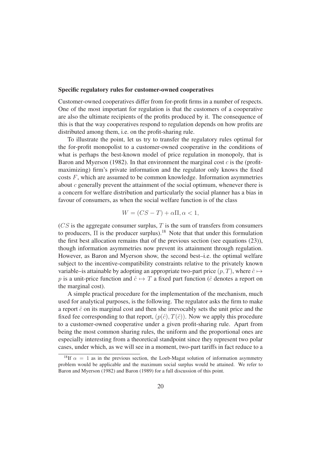#### Specific regulatory rules for customer-owned cooperatives

Customer-owned cooperatives differ from for-profit firms in a number of respects. One of the most important for regulation is that the customers of a cooperative are also the ultimate recipients of the profits produced by it. The consequence of this is that the way cooperatives respond to regulation depends on how profits are distributed among them, i.e. on the profit-sharing rule.

To illustrate the point, let us try to transfer the regulatory rules optimal for the for-profit monopolist to a customer-owned cooperative in the conditions of what is perhaps the best-known model of price regulation in monopoly, that is Baron and Myerson (1982). In that environment the marginal cost  $c$  is the (profitmaximizing) firm's private information and the regulator only knows the fixed costs F, which are assumed to be common knowledge. Information asymmetries about  $c$  generally prevent the attainment of the social optimum, whenever there is a concern for welfare distribution and particularly the social planner has a bias in favour of consumers, as when the social welfare function is of the class

$$
W = (CS - T) + \alpha \Pi, \alpha < 1,
$$

 $(CS)$  is the aggregate consumer surplus, T is the sum of transfers from consumers to producers,  $\Pi$  is the producer surplus).<sup>18</sup> Note that that under this formulation the first best allocation remains that of the previous section (see equations (23)), though information asymmetries now prevent its attainment through regulation. However, as Baron and Myerson show, the second best–i.e. the optimal welfare subject to the incentive-compatibility constraints relative to the privately known variable–is attainable by adopting an appropriate two-part price  $(p, T)$ , where  $\hat{c} \mapsto$ p is a unit-price function and  $\hat{c} \mapsto T$  a fixed part function ( $\hat{c}$  denotes a report on the marginal cost).

A simple practical procedure for the implementation of the mechanism, much used for analytical purposes, is the following. The regulator asks the firm to make a report  $\hat{c}$  on its marginal cost and then she irrevocably sets the unit price and the fixed fee corresponding to that report,  $(p(\hat{c}), T(\hat{c}))$ . Now we apply this procedure to a customer-owned cooperative under a given profit-sharing rule. Apart from being the most common sharing rules, the uniform and the proportional ones are especially interesting from a theoretical standpoint since they represent two polar cases, under which, as we will see in a moment, two-part tariffs in fact reduce to a

<sup>&</sup>lt;sup>18</sup>If  $\alpha = 1$  as in the previous section, the Loeb-Magat solution of information asymmetry problem would be applicable and the maximum social surplus would be attained. We refer to Baron and Myerson (1982) and Baron (1989) for a full discussion of this point.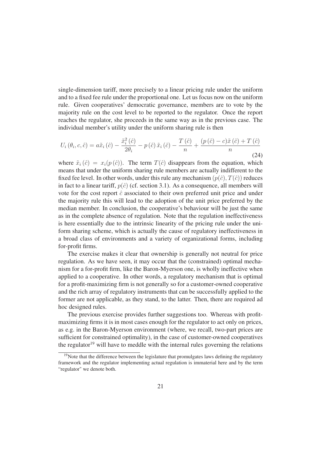single-dimension tariff, more precisely to a linear pricing rule under the uniform and to a fixed fee rule under the proportional one. Let us focus now on the uniform rule. Given cooperatives' democratic governance, members are to vote by the majority rule on the cost level to be reported to the regulator. Once the report reaches the regulator, she proceeds in the same way as in the previous case. The individual member's utility under the uniform sharing rule is then

$$
U_i(\theta_i, c, \hat{c}) = a\tilde{x}_i(\hat{c}) - \frac{\tilde{x}_i^2(\hat{c})}{2\theta_i} - p(\hat{c})\tilde{x}_i(\hat{c}) - \frac{T(\hat{c})}{n} + \frac{(p(\hat{c}) - c)\tilde{x}(\hat{c}) + T(\hat{c})}{n}
$$
\n(24)

where  $\tilde{x}_i(\hat{c}) = x_i(p(\hat{c}))$ . The term  $T(\hat{c})$  disappears from the equation, which means that under the uniform sharing rule members are actually indifferent to the fixed fee level. In other words, under this rule any mechanism  $(p(\hat{c}), T(\hat{c}))$  reduces in fact to a linear tariff,  $p(\hat{c})$  (cf. section 3.1). As a consequence, all members will vote for the cost report  $\hat{c}$  associated to their own preferred unit price and under the majority rule this will lead to the adoption of the unit price preferred by the median member. In conclusion, the cooperative's behaviour will be just the same as in the complete absence of regulation. Note that the regulation ineffectiveness is here essentially due to the intrinsic linearity of the pricing rule under the uniform sharing scheme, which is actually the cause of regulatory ineffectiveness in a broad class of environments and a variety of organizational forms, including for-profit firms.

The exercise makes it clear that ownership is generally not neutral for price regulation. As we have seen, it may occur that the (constrained) optimal mechanism for a for-profit firm, like the Baron-Myerson one, is wholly ineffective when applied to a cooperative. In other words, a regulatory mechanism that is optimal for a profit-maximizing firm is not generally so for a customer-owned cooperative and the rich array of regulatory instruments that can be successfully applied to the former are not applicable, as they stand, to the latter. Then, there are required ad hoc designed rules.

The previous exercise provides further suggestions too. Whereas with profitmaximizing firms it is in most cases enough for the regulator to act only on prices, as e.g. in the Baron-Myerson environment (where, we recall, two-part prices are sufficient for constrained optimality), in the case of customer-owned cooperatives the regulator<sup>19</sup> will have to meddle with the internal rules governing the relations

<sup>&</sup>lt;sup>19</sup>Note that the difference between the legislature that promulgates laws defining the regulatory framework and the regulator implementing actual regulation is immaterial here and by the term "regulator" we denote both.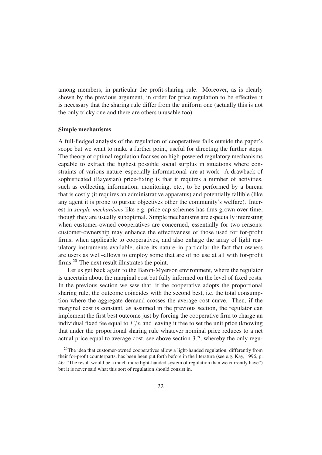among members, in particular the profit-sharing rule. Moreover, as is clearly shown by the previous argument, in order for price regulation to be effective it is necessary that the sharing rule differ from the uniform one (actually this is not the only tricky one and there are others unusable too).

#### Simple mechanisms

A full-fledged analysis of the regulation of cooperatives falls outside the paper's scope but we want to make a further point, useful for directing the further steps. The theory of optimal regulation focuses on high-powered regulatory mechanisms capable to extract the highest possible social surplus in situations where constraints of various nature–especially informational–are at work. A drawback of sophisticated (Bayesian) price-fixing is that it requires a number of activities, such as collecting information, monitoring, etc., to be performed by a bureau that is costly (it requires an administrative apparatus) and potentially fallible (like any agent it is prone to pursue objectives other the community's welfare). Interest in *simple mechanisms* like e.g. price cap schemes has thus grown over time, though they are usually suboptimal. Simple mechanisms are especially interesting when customer-owned cooperatives are concerned, essentially for two reasons: customer-ownership may enhance the effectiveness of those used for for-profit firms, when applicable to cooperatives, and also enlarge the array of light regulatory instruments available, since its nature–in particular the fact that owners are users as well–allows to employ some that are of no use at all with for-profit firms.<sup>20</sup> The next result illustrates the point.

Let us get back again to the Baron-Myerson environment, where the regulator is uncertain about the marginal cost but fully informed on the level of fixed costs. In the previous section we saw that, if the cooperative adopts the proportional sharing rule, the outcome coincides with the second best, i.e. the total consumption where the aggregate demand crosses the average cost curve. Then, if the marginal cost is constant, as assumed in the previous section, the regulator can implement the first best outcome just by forcing the cooperative firm to charge an individual fixed fee equal to  $F/n$  and leaving it free to set the unit price (knowing that under the proportional sharing rule whatever nominal price reduces to a net actual price equal to average cost, see above section 3.2, whereby the only regu-

 $20$ The idea that customer-owned cooperatives allow a light-handed regulation, differently from their for-profit counterparts, has been been put forth before in the literature (see e.g. Kay, 1996, p. 46: "The result would be a much more light-handed system of regulation than we currently have") but it is never said what this sort of regulation should consist in.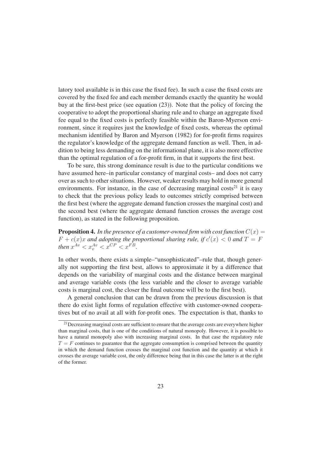latory tool available is in this case the fixed fee). In such a case the fixed costs are covered by the fixed fee and each member demands exactly the quantity he would buy at the first-best price (see equation (23)). Note that the policy of forcing the cooperative to adopt the proportional sharing rule and to charge an aggregate fixed fee equal to the fixed costs is perfectly feasible within the Baron-Myerson environment, since it requires just the knowledge of fixed costs, whereas the optimal mechanism identified by Baron and Myerson (1982) for for-profit firms requires the regulator's knowledge of the aggregate demand function as well. Then, in addition to being less demanding on the informational plane, it is also more effective than the optimal regulation of a for-profit firm, in that it supports the first best.

To be sure, this strong dominance result is due to the particular conditions we have assumed here–in particular constancy of marginal costs– and does not carry over as such to other situations. However, weaker results may hold in more general environments. For instance, in the case of decreasing marginal costs<sup>21</sup> it is easy to check that the previous policy leads to outcomes strictly comprised between the first best (where the aggregate demand function crosses the marginal cost) and the second best (where the aggregate demand function crosses the average cost function), as stated in the following proposition.

**Proposition 4.** In the presence of a customer-owned firm with cost function  $C(x) =$  $F + c(x)x$  and adopting the proportional sharing rule, if  $c'(x) < 0$  and  $T = F$ *then*  $x^{Av} < x_v^{Av} < x^{CP} < x^{FB}$ *.* 

In other words, there exists a simple–"unsophisticated"–rule that, though generally not supporting the first best, allows to approximate it by a difference that depends on the variability of marginal costs and the distance between marginal and average variable costs (the less variable and the closer to average variable costs is marginal cost, the closer the final outcome will be to the first best).

A general conclusion that can be drawn from the previous discussion is that there do exist light forms of regulation effective with customer-owned cooperatives but of no avail at all with for-profit ones. The expectation is that, thanks to

<sup>&</sup>lt;sup>21</sup>Decreasing marginal costs are sufficient to ensure that the average costs are everywhere higher than marginal costs, that is one of the conditions of natural monopoly. However, it is possible to have a natural monopoly also with increasing marginal costs. In that case the regulatory rule  $T = F$  continues to guarantee that the aggregate consumption is comprised between the quantity in which the demand function crosses the marginal cost function and the quantity at which it crosses the average variable cost, the only difference being that in this case the latter is at the right of the former.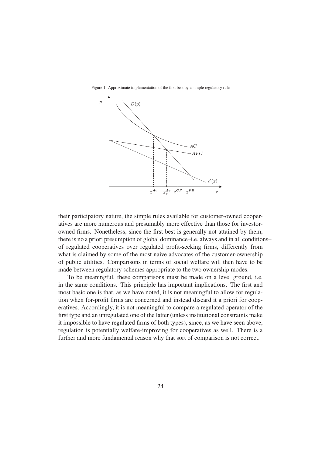

Figure 1: Approximate implementation of the first best by a simple regulatory rule

their participatory nature, the simple rules available for customer-owned cooperatives are more numerous and presumably more effective than those for investorowned firms. Nonetheless, since the first best is generally not attained by them, there is no a priori presumption of global dominance–i.e. always and in all conditions– of regulated cooperatives over regulated profit-seeking firms, differently from what is claimed by some of the most naive advocates of the customer-ownership of public utilities. Comparisons in terms of social welfare will then have to be made between regulatory schemes appropriate to the two ownership modes.

To be meaningful, these comparisons must be made on a level ground, i.e. in the same conditions. This principle has important implications. The first and most basic one is that, as we have noted, it is not meaningful to allow for regulation when for-profit firms are concerned and instead discard it a priori for cooperatives. Accordingly, it is not meaningful to compare a regulated operator of the first type and an unregulated one of the latter (unless institutional constraints make it impossible to have regulated firms of both types), since, as we have seen above, regulation is potentially welfare-improving for cooperatives as well. There is a further and more fundamental reason why that sort of comparison is not correct.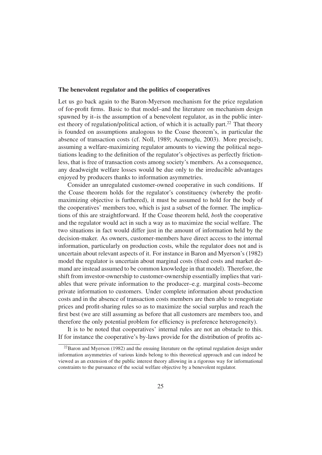#### The benevolent regulator and the politics of cooperatives

Let us go back again to the Baron-Myerson mechanism for the price regulation of for-profit firms. Basic to that model–and the literature on mechanism design spawned by it–is the assumption of a benevolent regulator, as in the public interest theory of regulation/political action, of which it is actually part.<sup>22</sup> That theory is founded on assumptions analogous to the Coase theorem's, in particular the absence of transaction costs (cf. Noll, 1989; Acemoglu, 2003). More precisely, assuming a welfare-maximizing regulator amounts to viewing the political negotiations leading to the definition of the regulator's objectives as perfectly frictionless, that is free of transaction costs among society's members. As a consequence, any deadweight welfare losses would be due only to the irreducible advantages enjoyed by producers thanks to information asymmetries.

Consider an unregulated customer-owned cooperative in such conditions. If the Coase theorem holds for the regulator's constituency (whereby the profitmaximizing objective is furthered), it must be assumed to hold for the body of the cooperatives' members too, which is just a subset of the former. The implications of this are straightforward. If the Coase theorem held, *both* the cooperative and the regulator would act in such a way as to maximize the social welfare. The two situations in fact would differ just in the amount of information held by the decision-maker. As owners, customer-members have direct access to the internal information, particularly on production costs, while the regulator does not and is uncertain about relevant aspects of it. For instance in Baron and Myerson's (1982) model the regulator is uncertain about marginal costs (fixed costs and market demand are instead assumed to be common knowledge in that model). Therefore, the shift from investor-ownership to customer-ownership essentially implies that variables that were private information to the producer–e.g. marginal costs–become private information to customers. Under complete information about production costs and in the absence of transaction costs members are then able to renegotiate prices and profit-sharing rules so as to maximize the social surplus and reach the first best (we are still assuming as before that all customers are members too, and therefore the only potential problem for efficiency is preference heterogeneity).

It is to be noted that cooperatives' internal rules are not an obstacle to this. If for instance the cooperative's by-laws provide for the distribution of profits ac-

<sup>&</sup>lt;sup>22</sup>Baron and Myerson (1982) and the ensuing literature on the optimal regulation design under information asymmetries of various kinds belong to this theoretical approach and can indeed be viewed as an extension of the public interest theory allowing in a rigorous way for informational constraints to the pursuance of the social welfare objective by a benevolent regulator.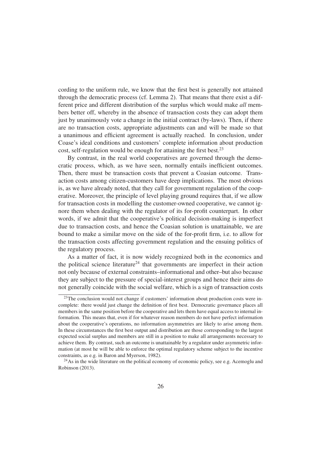cording to the uniform rule, we know that the first best is generally not attained through the democratic process (cf. Lemma 2). That means that there exist a different price and different distribution of the surplus which would make *all* members better off, whereby in the absence of transaction costs they can adopt them just by unanimously vote a change in the initial contract (by-laws). Then, if there are no transaction costs, appropriate adjustments can and will be made so that a unanimous and efficient agreement is actually reached. In conclusion, under Coase's ideal conditions and customers' complete information about production cost, self-regulation would be enough for attaining the first best.<sup>23</sup>

By contrast, in the real world cooperatives are governed through the democratic process, which, as we have seen, normally entails inefficient outcomes. Then, there must be transaction costs that prevent a Coasian outcome. Transaction costs among citizen-customers have deep implications. The most obvious is, as we have already noted, that they call for government regulation of the cooperative. Moreover, the principle of level playing ground requires that, if we allow for transaction costs in modelling the customer-owned cooperative, we cannot ignore them when dealing with the regulator of its for-profit counterpart. In other words, if we admit that the cooperative's political decision-making is imperfect due to transaction costs, and hence the Coasian solution is unattainable, we are bound to make a similar move on the side of the for-profit firm, i.e. to allow for the transaction costs affecting government regulation and the ensuing politics of the regulatory process.

As a matter of fact, it is now widely recognized both in the economics and the political science literature<sup>24</sup> that governments are imperfect in their action not only because of external constraints–informational and other–but also because they are subject to the pressure of special-interest groups and hence their aims do not generally coincide with the social welfare, which is a sign of transaction costs

 $^{23}$ The conclusion would not change if customers' information about production costs were incomplete: there would just change the definition of first best. Democratic governance places all members in the same position before the cooperative and lets them have equal access to internal information. This means that, even if for whatever reason members do not have perfect information about the cooperative's operations, no information asymmetries are likely to arise among them. In these circumstances the first best output and distribution are those corresponding to the largest expected social surplus and members are still in a position to make all arrangements necessary to achieve them. By contrast, such an outcome is unattainable by a regulator under asymmetric information (at most he will be able to enforce the optimal regulatory scheme subject to the incentive constraints, as e.g. in Baron and Myerson, 1982).

 $^{24}$ As in the wide literature on the political economy of economic policy, see e.g. Acemoglu and Robinson (2013).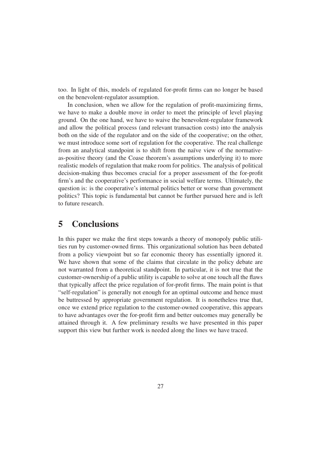too. In light of this, models of regulated for-profit firms can no longer be based on the benevolent-regulator assumption.

In conclusion, when we allow for the regulation of profit-maximizing firms, we have to make a double move in order to meet the principle of level playing ground. On the one hand, we have to waive the benevolent-regulator framework and allow the political process (and relevant transaction costs) into the analysis both on the side of the regulator and on the side of the cooperative; on the other, we must introduce some sort of regulation for the cooperative. The real challenge from an analytical standpoint is to shift from the naïve view of the normativeas-positive theory (and the Coase theorem's assumptions underlying it) to more realistic models of regulation that make room for politics. The analysis of political decision-making thus becomes crucial for a proper assessment of the for-profit firm's and the cooperative's performance in social welfare terms. Ultimately, the question is: is the cooperative's internal politics better or worse than government politics? This topic is fundamental but cannot be further pursued here and is left to future research.

## 5 Conclusions

In this paper we make the first steps towards a theory of monopoly public utilities run by customer-owned firms. This organizational solution has been debated from a policy viewpoint but so far economic theory has essentially ignored it. We have shown that some of the claims that circulate in the policy debate are not warranted from a theoretical standpoint. In particular, it is not true that the customer-ownership of a public utility is capable to solve at one touch all the flaws that typically affect the price regulation of for-profit firms. The main point is that "self-regulation" is generally not enough for an optimal outcome and hence must be buttressed by appropriate government regulation. It is nonetheless true that, once we extend price regulation to the customer-owned cooperative, this appears to have advantages over the for-profit firm and better outcomes may generally be attained through it. A few preliminary results we have presented in this paper support this view but further work is needed along the lines we have traced.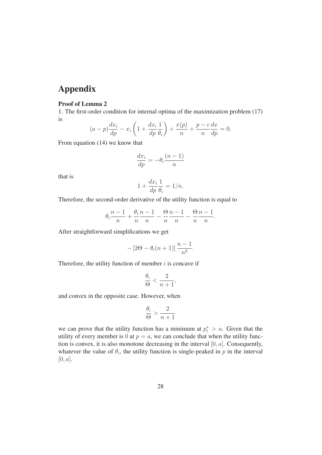## Appendix

## Proof of Lemma 2

1. The first-order condition for internal optima of the maximization problem (17) is

$$
(a-p)\frac{dx_i}{dp} - x_i\left(1 + \frac{dx_i}{dp}\frac{1}{\theta_i}\right) + \frac{x(p)}{n} + \frac{p-c}{n}\frac{dx}{dp} = 0.
$$

From equation (14) we know that

$$
\frac{dx_i}{dp} = -\theta_i \frac{(n-1)}{n}
$$

that is

$$
1 + \frac{dx_i}{dp} \frac{1}{\theta_i} = 1/n.
$$

Therefore, the second-order derivative of the utility function is equal to

$$
\theta_i \frac{n-1}{n} + \frac{\theta_i}{n} \frac{n-1}{n} - \frac{\Theta}{n} \frac{n-1}{n} - \frac{\Theta}{n} \frac{n-1}{n}.
$$

After straightforward simplifications we get

$$
-\left[2\Theta - \theta_i(n+1)\right]\frac{n-1}{n^2}.
$$

Therefore, the utility function of member  $i$  is concave if

$$
\frac{\theta_i}{\Theta} < \frac{2}{n+1},
$$

and convex in the opposite case. However, when

$$
\frac{\theta_i}{\Theta} > \frac{2}{n+1}
$$

we can prove that the utility function has a minimum at  $p_i^* > a$ . Given that the utility of every member is 0 at  $p = a$ , we can conclude that when the utility function is convex, it is also monotone decreasing in the interval  $[0, a]$ . Consequently, whatever the value of  $\theta_i$ , the utility function is single-peaked in p in the interval  $[0, a]$ .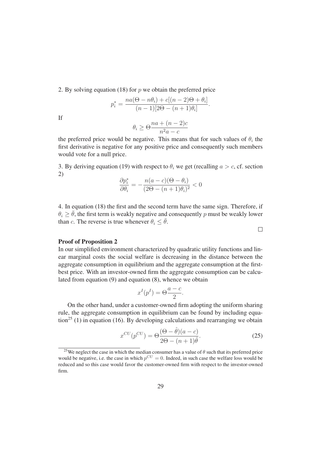2. By solving equation (18) for  $p$  we obtain the preferred price

$$
p_i^* = \frac{na(\Theta - n\theta_i) + c[(n-2)\Theta + \theta_i]}{(n-1)[2\Theta - (n+1)\theta_i]}.
$$

If

$$
\theta_i \ge \Theta \frac{na + (n-2)c}{n^2 a - c}
$$

the preferred price would be negative. This means that for such values of  $\theta_i$  the first derivative is negative for any positive price and consequently such members would vote for a null price.

3. By deriving equation (19) with respect to  $\theta_i$  we get (recalling  $a > c$ , cf. section 2)

$$
\frac{\partial p_i^*}{\partial \theta_i} = -\frac{n(a-c)(\Theta - \theta_i)}{(2\Theta - (n+1)\theta_i)^2} < 0
$$

4. In equation (18) the first and the second term have the same sign. Therefore, if  $\theta_i \geq \bar{\theta}$ , the first term is weakly negative and consequently p must be weakly lower than c. The reverse is true whenever  $\theta_i < \overline{\theta}$ .

#### Proof of Proposition 2

In our simplified environment characterized by quadratic utility functions and linear marginal costs the social welfare is decreasing in the distance between the aggregate consumption in equilibrium and the aggregate consumption at the firstbest price. With an investor-owned firm the aggregate consumption can be calculated from equation (9) and equation (8), whence we obtain

$$
x^{I}(p^{I}) = \Theta \frac{a-c}{2}.
$$

On the other hand, under a customer-owned firm adopting the uniform sharing rule, the aggregate consumption in equilibrium can be found by including equation<sup>25</sup> (1) in equation (16). By developing calculations and rearranging we obtain

$$
x^{CU}(p^{CU}) = \Theta \frac{(\Theta - \hat{\theta})(a - c)}{2\Theta - (n + 1)\hat{\theta}}.
$$
\n(25)

 $\Box$ 

<sup>&</sup>lt;sup>25</sup>We neglect the case in which the median consumer has a value of  $\theta$  such that its preferred price would be negative, i.e. the case in which  $p^{CU} = 0$ . Indeed, in such case the welfare loss would be reduced and so this case would favor the customer-owned firm with respect to the investor-owned firm.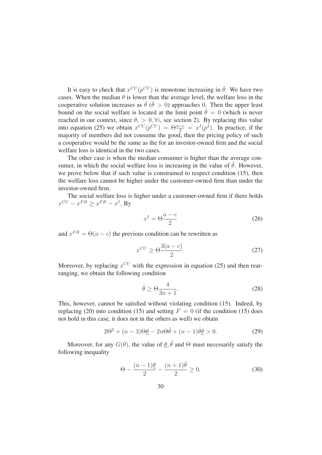It is easy to check that  $x^{CU}(p^{CU})$  is monotone increasing in  $\hat{\theta}$ . We have two cases. When the median  $\theta$  is lower than the average level, the welfare loss in the cooperative solution increases as  $\hat{\theta}$  ( $\hat{\theta} > 0$ ) approaches 0. Then the upper least bound on the social welfare is located at the limit point  $\hat{\theta} = 0$  (which is never reached in our context, since  $\theta_i > 0$ ,  $\forall i$ , see section 2). By replacing this value into equation (25) we obtain  $x^{CU}(p^{CU}) = \Theta \frac{a-c}{2} = x^I(p^I)$ . In practice, if the majority of members did not consume the good, then the pricing policy of such a cooperative would be the same as the for an investor-owned firm and the social welfare loss is identical in the two cases.

The other case is when the median consumer is higher than the average consumer, in which the social welfare loss is increasing in the value of  $\theta$ . However, we prove below that if such value is constrained to respect condition (15), then the welfare loss cannot be higher under the customer-owned firm than under the investor-owned firm.

The social welfare loss is higher under a customer-owned firm if there holds  $x^{CU} - x^{FB} \ge x^{FB} - x^I$ . By

$$
x^I = \Theta \frac{a - c}{2} \tag{26}
$$

and  $x^{FB} = \Theta(a - c)$  the previous condition can be rewritten as

$$
x^{CU} \ge \Theta \frac{3(a-c)}{2}.\tag{27}
$$

Moreover, by replacing  $x^{CU}$  with the expression in equation (25) and then rearranging, we obtain the following condition

$$
\hat{\theta} \ge \Theta \frac{4}{3n+1}.\tag{28}
$$

This, however, cannot be satisfied without violating condition (15). Indeed, by replacing (20) into condition (15) and setting  $F = 0$  (if the condition (15) does not hold in this case, it does not in the others as well) we obtain

$$
2\Theta^2 + (n-3)\Theta\underline{\theta} - 2n\Theta\widehat{\theta} + (n-1)\widehat{\theta}\underline{\theta} > 0. \tag{29}
$$

Moreover, for any  $G(\theta)$ , the value of  $\underline{\theta}$ ,  $\hat{\theta}$  and  $\Theta$  must necessarily satisfy the following inequality

$$
\Theta - \frac{(n-1)\theta}{2} - \frac{(n+1)\hat{\theta}}{2} \ge 0.
$$
 (30)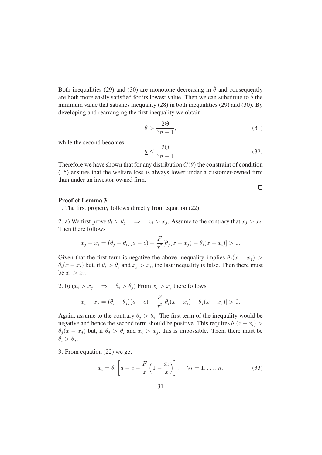Both inequalities (29) and (30) are monotone decreasing in  $\hat{\theta}$  and consequently are both more easily satisfied for its lowest value. Then we can substitute to  $\hat{\theta}$  the minimum value that satisfies inequality (28) in both inequalities (29) and (30). By developing and rearranging the first inequality we obtain

$$
\underline{\theta} > \frac{2\Theta}{3n - 1},\tag{31}
$$

while the second becomes

$$
\underline{\theta} \le \frac{2\Theta}{3n-1}.\tag{32}
$$

Therefore we have shown that for any distribution  $G(\theta)$  the constraint of condition (15) ensures that the welfare loss is always lower under a customer-owned firm than under an investor-owned firm.

$$
\Box
$$

#### Proof of Lemma 3

1. The first property follows directly from equation (22).

2. a) We first prove  $\theta_i > \theta_j \implies x_i > x_j$ . Assume to the contrary that  $x_j > x_i$ . Then there follows

$$
x_j - x_i = (\theta_j - \theta_i)(a - c) + \frac{F}{x^2}[\theta_j(x - x_j) - \theta_i(x - x_i)] > 0.
$$

Given that the first term is negative the above inequality implies  $\theta_j(x - x_j)$  $\theta_i(x - x_i)$  but, if  $\theta_i > \theta_j$  and  $x_j > x_i$ , the last inequality is false. Then there must be  $x_i > x_j$ .

2. b)  $(x_i > x_j \Rightarrow \theta_i > \theta_j)$  From  $x_i > x_j$  there follows

$$
x_i - x_j = (\theta_i - \theta_j)(a - c) + \frac{F}{x^2}[\theta_i(x - x_i) - \theta_j(x - x_j)] > 0.
$$

Again, assume to the contrary  $\theta_j > \theta_i$ . The first term of the inequality would be negative and hence the second term should be positive. This requires  $\theta_i(x-x_i)$  $\theta_j(x-x_j)$  but, if  $\theta_j > \theta_i$  and  $x_i > x_j$ , this is impossible. Then, there must be  $\theta_i > \theta_j.$ 

3. From equation (22) we get

$$
x_i = \theta_i \left[ a - c - \frac{F}{x} \left( 1 - \frac{x_i}{x} \right) \right], \quad \forall i = 1, \dots, n. \tag{33}
$$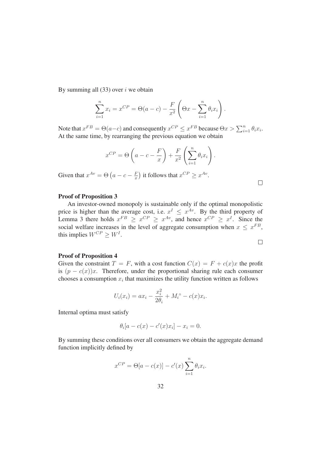By summing all  $(33)$  over i we obtain

$$
\sum_{i=1}^{n} x_i = x^{CP} = \Theta(a-c) - \frac{F}{x^2} \left( \Theta x - \sum_{i=1}^{n} \theta_i x_i \right).
$$

Note that  $x^{FB} = \Theta(a-c)$  and consequently  $x^{CP} \le x^{FB}$  because  $\Theta x > \sum_{i=1}^{n} \theta_i x_i$ . At the same time, by rearranging the previous equation we obtain

$$
x^{CP} = \Theta\left(a - c - \frac{F}{x}\right) + \frac{F}{x^2} \left(\sum_{i=1}^n \theta_i x_i\right).
$$

Given that  $x^{Av} = \Theta\left(a - c - \frac{F}{x}\right)$  $\left(\frac{F}{x}\right)$  it follows that  $x^{CP} \geq x^{Av}$ .

 $\Box$ 

#### Proof of Proposition 3

An investor-owned monopoly is sustainable only if the optimal monopolistic price is higher than the average cost, i.e.  $x^I \leq x^{Av}$ . By the third property of Lemma 3 there holds  $x^{FB} \ge x^{CP} \ge x^{Av}$ , and hence  $x^{CP} \ge x^{I}$ . Since the social welfare increases in the level of aggregate consumption when  $x \leq x^{FB}$ , this implies  $W^{CP} \geq W^I$ .  $\Box$ 

Proof of Proposition 4

Given the constraint  $T = F$ , with a cost function  $C(x) = F + c(x)x$  the profit is  $(p - c(x))x$ . Therefore, under the proportional sharing rule each consumer chooses a consumption  $x_i$  that maximizes the utility function written as follows

$$
U_i(x_i) = ax_i - \frac{x_i^2}{2\theta_i} + M_i^{\circ} - c(x)x_i.
$$

Internal optima must satisfy

$$
\theta_i[a - c(x) - c'(x)x_i] - x_i = 0.
$$

By summing these conditions over all consumers we obtain the aggregate demand function implicitly defined by

$$
x^{CP} = \Theta[a - c(x)] - c'(x) \sum_{i=1}^{n} \theta_i x_i.
$$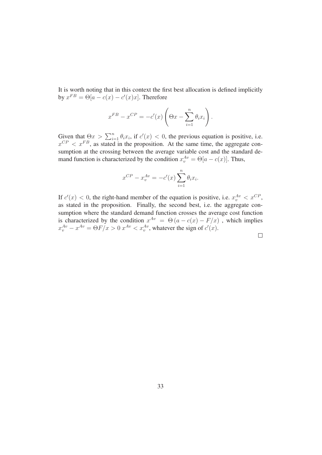It is worth noting that in this context the first best allocation is defined implicitly by  $x^{FB} = \Theta[a - c(x) - c'(x)x]$ . Therefore

$$
x^{FB} - x^{CP} = -c'(x) \left( \Theta x - \sum_{i=1}^{n} \theta_i x_i \right).
$$

Given that  $\Theta x > \sum_{i=1}^n \theta_i x_i$ , if  $c'(x) < 0$ , the previous equation is positive, i.e.  $x^{CP} < x^{FB}$ , as stated in the proposition. At the same time, the aggregate consumption at the crossing between the average variable cost and the standard demand function is characterized by the condition  $x_v^{Av} = \Theta[a - c(x)]$ . Thus,

$$
x^{CP} - x_v^{Av} = -c'(x) \sum_{i=1}^n \theta_i x_i.
$$

If  $c'(x) < 0$ , the right-hand member of the equation is positive, i.e.  $x_v^{Av} < x^{CP}$ , as stated in the proposition. Finally, the second best, i.e. the aggregate consumption where the standard demand function crosses the average cost function is characterized by the condition  $x^{Av} = \Theta(a - c(x) - F/x)$ , which implies  $x_v^{Av} - x^{Av} = \Theta F/x > 0$   $x^{Av} < x_v^{Av}$ , whatever the sign of  $c'(x)$ .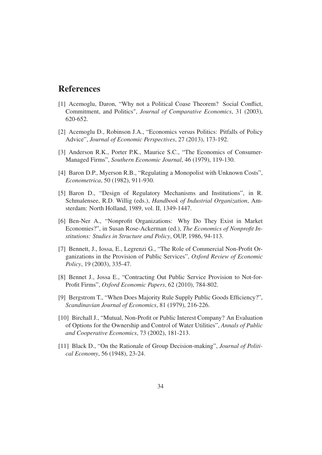## References

- [1] Acemoglu, Daron, "Why not a Political Coase Theorem? Social Conflict, Commitment, and Politics", *Journal of Comparative Economics*, 31 (2003), 620-652.
- [2] Acemoglu D., Robinson J.A., "Economics versus Politics: Pitfalls of Policy Advice", *Journal of Economic Perspectives*, 27 (2013), 173-192.
- [3] Anderson R.K., Porter P.K., Maurice S.C., "The Economics of Consumer-Managed Firms", *Southern Economic Journal*, 46 (1979), 119-130.
- [4] Baron D.P., Myerson R.B., "Regulating a Monopolist with Unknown Costs", *Econometrica*, 50 (1982), 911-930.
- [5] Baron D., "Design of Regulatory Mechanisms and Institutions", in R. Schmalensee, R.D. Willig (eds.), *Handbook of Industrial Organization*, Amsterdam: North Holland, 1989, vol. II, 1349-1447.
- [6] Ben-Ner A., "Nonprofit Organizations: Why Do They Exist in Market Economies?", in Susan Rose-Ackerman (ed.), *The Economics of Nonprofit Institutions: Studies in Structure and Policy*, OUP, 1986, 94-113.
- [7] Bennett, J., Iossa, E., Legrenzi G., "The Role of Commercial Non-Profit Organizations in the Provision of Public Services", *Oxford Review of Economic Policy*, 19 (2003), 335-47.
- [8] Bennet J., Jossa E., "Contracting Out Public Service Provision to Not-for-Profit Firms", *Oxford Economic Papers*, 62 (2010), 784-802.
- [9] Bergstrom T., "When Does Majority Rule Supply Public Goods Efficiency?", *Scandinavian Journal of Economics*, 81 (1979), 216-226.
- [10] Birchall J., "Mutual, Non-Profit or Public Interest Company? An Evaluation of Options for the Ownership and Control of Water Utilities", *Annals of Public and Cooperative Economics*, 73 (2002), 181-213.
- [11] Black D., "On the Rationale of Group Decision-making", *Journal of Political Economy*, 56 (1948), 23-24.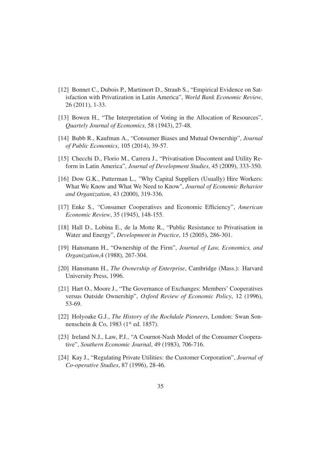- [12] Bonnet C., Dubois P., Martimort D., Straub S., "Empirical Evidence on Satisfaction with Privatization in Latin America", *World Bank Economic Review*, 26 (2011), 1-33.
- [13] Bowen H., "The Interpretation of Voting in the Allocation of Resources", *Quartely Journal of Economics*, 58 (1943), 27-48.
- [14] Bubb R., Kaufman A., "Consumer Biases and Mutual Ownership", *Journal of Public Economics*, 105 (2014), 39-57.
- [15] Checchi D., Florio M., Carrera J., "Privatisation Discontent and Utility Reform in Latin America", *Journal of Development Studies*, 45 (2009), 333-350.
- [16] Dow G.K., Putterman L., "Why Capital Suppliers (Usually) Hire Workers: What We Know and What We Need to Know", *Journal of Economic Behavior and Organization*, 43 (2000), 319-336.
- [17] Enke S., "Consumer Cooperatives and Economic Efficiency", *American Economic Review*, 35 (1945), 148-155.
- [18] Hall D., Lobina E., de la Motte R., "Public Resistance to Privatisation in Water and Energy", *Development in Practice*, 15 (2005), 286-301.
- [19] Hansmann H., "Ownership of the Firm", *Journal of Law, Economics, and Organization*,4 (1988), 267-304.
- [20] Hansmann H., *The Ownership of Enterprise*, Cambridge (Mass.): Harvard University Press, 1996.
- [21] Hart O., Moore J., "The Governance of Exchanges: Members' Cooperatives versus Outside Ownership", *Oxford Review of Economic Policy*, 12 (1996), 53-69.
- [22] Holyoake G.J., *The History of the Rochdale Pioneers*, London: Swan Sonnenschein & Co, 1983 (1<sup>st</sup> ed. 1857).
- [23] Ireland N.J., Law, P.J., "A Cournot-Nash Model of the Consumer Cooperative", *Southern Economic Journal*, 49 (1983), 706-716.
- [24] Kay J., "Regulating Private Utilities: the Customer Corporation", *Journal of Co-operative Studies*, 87 (1996), 28-46.